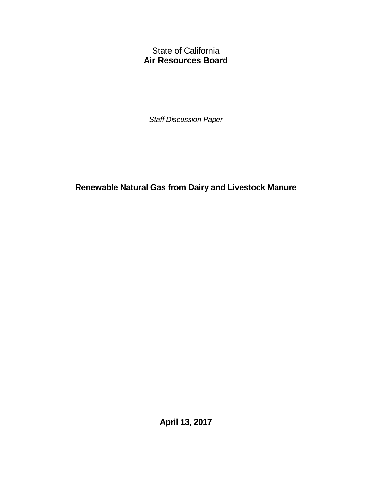State of California **Air Resources Board** 

 *Staff Discussion Paper* 

 **Renewable Natural Gas from Dairy and Livestock Manure** 

 **April 13, 2017**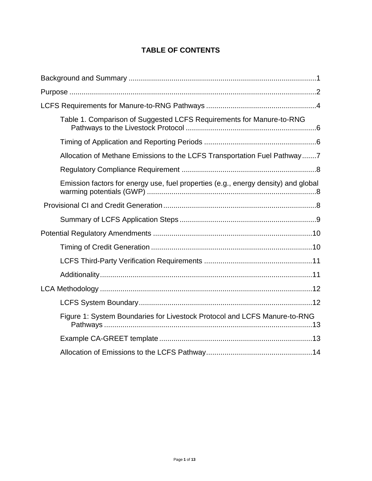# **TABLE OF CONTENTS**

| Table 1. Comparison of Suggested LCFS Requirements for Manure-to-RNG               |
|------------------------------------------------------------------------------------|
|                                                                                    |
| Allocation of Methane Emissions to the LCFS Transportation Fuel Pathway7           |
|                                                                                    |
| Emission factors for energy use, fuel properties (e.g., energy density) and global |
|                                                                                    |
|                                                                                    |
|                                                                                    |
|                                                                                    |
|                                                                                    |
|                                                                                    |
|                                                                                    |
|                                                                                    |
| Figure 1: System Boundaries for Livestock Protocol and LCFS Manure-to-RNG          |
|                                                                                    |
|                                                                                    |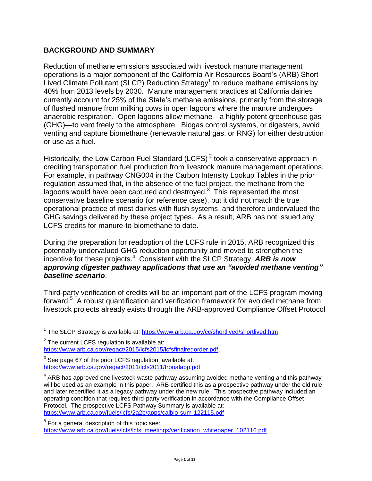### <span id="page-2-0"></span>**BACKGROUND AND SUMMARY**

Lived Climate Pollutant (SLCP) Reduction Strategy<sup>1</sup> to reduce methane emissions by 40% from 2013 levels by 2030. Manure management practices at California dairies currently account for 25% of the State's methane emissions, primarily from the storage of flushed manure from milking cows in open lagoons where the manure undergoes anaerobic respiration. Open lagoons allow methane—a highly potent greenhouse gas or use as a fuel. Reduction of methane emissions associated with livestock manure management operations is a major component of the California Air Resources Board's (ARB) Short-(GHG)—to vent freely to the atmosphere. Biogas control systems, or digesters, avoid venting and capture biomethane (renewable natural gas, or RNG) for either destruction

 crediting transportation fuel production from livestock manure management operations. regulation assumed that, in the absence of the fuel project, the methane from the lagoons would have been captured and destroyed. $3\overline{ }$  This represented the most conservative baseline scenario (or reference case), but it did not match the true operational practice of most dairies with flush systems, and therefore undervalued the GHG savings delivered by these project types. As a result, ARB has not issued any LCFS credits for manure-to-biomethane to date. Historically, the Low Carbon Fuel Standard (LCFS)<sup> $2$ </sup> took a conservative approach in For example, in pathway CNG004 in the Carbon Intensity Lookup Tables in the prior

 potentially undervalued GHG reduction opportunity and moved to strengthen the incentive for these projects.4 Consistent with the SLCP Strategy, *ARB is now approving digester pathway applications that use an "avoided methane venting"* During the preparation for readoption of the LCFS rule in 2015, ARB recognized this *baseline scenario*.

 Third-party verification of credits will be an important part of the LCFS program moving forward.<sup>5</sup> A robust quantification and verification framework for avoided methane from livestock projects already exists through the ARB-approved Compliance Offset Protocol

 $\overline{\phantom{a}}$ 

<sup>&</sup>lt;sup>1</sup> The SLCP Strategy is available at: https://www.arb.ca.gov/cc/shortlived/shortlived.htm

 $2$  The current LCFS regulation is available at:

[https://www.arb.ca.gov/regact/2015/lcfs2015/lcfsfinalregorder.pdf.](https://www.arb.ca.gov/regact/2015/lcfs2015/lcfsfinalregorder.pdf)

https://www.arb.ca.gov/regact/2011/lcfs2011/frooalapp.pdf  $3$  See page 67 of the prior LCFS regulation, available at:

<sup>&</sup>lt;u>https://www.arb.ca.gov/regact/2011/lcfs2011/frooalapp.pdf</u><br><sup>4</sup> ARB has approved one livestock waste pathway assuming avoided methane venting and this pathway will be used as an example in this paper. ARB certified this as a prospective pathway under the old rule and later recertified it as a legacy pathway under the new rule. This prospective pathway included an operating condition that requires third-party verification in accordance with the Compliance Offset Protocol. The prospective LCFS Pathway Summary is available at:

<sup>&</sup>lt;u>https://www.arb.ca.gov/fuels/lcfs/2a2b/apps/calbio-sum-122115.pdf</u><br><sup>5</sup> For a general description of this topic see: [https://www.arb.ca.gov/fuels/lcfs/lcfs\\_meetings/verification\\_whitepaper\\_102116.pdf](https://www.arb.ca.gov/fuels/lcfs/lcfs_meetings/verification_whitepaper_102116.pdf)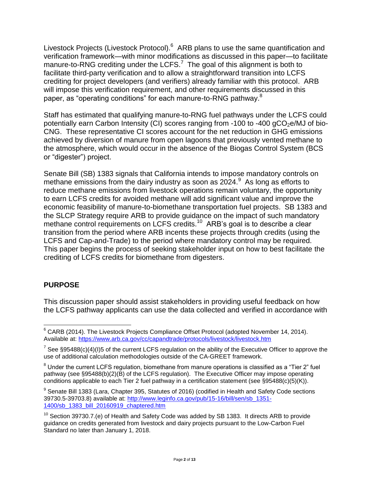Livestock Projects (Livestock Protocol).<sup>6</sup> ARB plans to use the same quantification and verification framework—with minor modifications as discussed in this paper—to facilitate manure-to-RNG crediting under the LCFS.<sup>7</sup> The goal of this alignment is both to facilitate third-party verification and to allow a straightforward transition into LCFS crediting for project developers (and verifiers) already familiar with this protocol. ARB paper, as "operating conditions" for each manure-to-RNG pathway.<sup>8</sup> will impose this verification requirement, and other requirements discussed in this

potentially earn Carbon Intensity (CI) scores ranging from -100 to -400 gCO<sub>2</sub>e/MJ of bio- CNG. These representative CI scores account for the net reduction in GHG emissions achieved by diversion of manure from open lagoons that previously vented methane to the atmosphere, which would occur in the absence of the Biogas Control System (BCS Staff has estimated that qualifying manure-to-RNG fuel pathways under the LCFS could or "digester") project.

methane emissions from the dairy industry as soon as  $2024.^9$  As long as efforts to reduce methane emissions from livestock operations remain voluntary, the opportunity economic feasibility of manure-to-biomethane transportation fuel projects. SB 1383 and the SLCP Strategy require ARB to provide guidance on the impact of such mandatory methane control requirements on LCFS [credits.](https://credits.10)<sup>10</sup> ARB's goal is to describe a clear This paper begins the process of seeking stakeholder input on how to best facilitate the Senate Bill (SB) 1383 signals that California intends to impose mandatory controls on to earn LCFS credits for avoided methane will add significant value and improve the transition from the period where ARB incents these projects through credits (using the LCFS and Cap-and-Trade) to the period where mandatory control may be required. crediting of LCFS credits for biomethane from digesters.

### <span id="page-3-0"></span>**PURPOSE**

 $\overline{\phantom{a}}$ 

 This discussion paper should assist stakeholders in providing useful feedback on how the LCFS pathway applicants can use the data collected and verified in accordance with

Available at: https://www.arb.ca.gov/cc/capandtrade/protocols/livestock/livestock.htm  $6$  CARB (2014). The Livestock Projects Compliance Offset Protocol (adopted November 14, 2014).

<sup>&</sup>lt;sup>7</sup> See §95488(c)(4)(I)5 of the current LCFS regulation on the ability of the Executive Officer to approve the use of additional calculation methodologies outside of the CA-GREET framework.

<sup>&</sup>lt;sup>8</sup> Under the current LCFS regulation, biomethane from manure operations is classified as a "Tier 2" fuel pathway (see §95488(b)(2)(B) of the LCFS regulation). The Executive Officer may impose operating conditions applicable to each Tier 2 fuel pathway in a certification statement (see §95488(c)(5)(K)).

 $^9$  Senate Bill 1383 (Lara, Chapter 395, Statutes of 2016) (codified in Health and Safety Code sections 1400/sb 1383 bill 20160919 chaptered.htm 39730.5-39703.8) available at: [http://www.leginfo.ca.gov/pub/15-16/bill/sen/sb\\_1351-](http://www.leginfo.ca.gov/pub/15-16/bill/sen/sb_1351-1400/sb_1383_bill_20160919_chaptered.htm)

<sup>&</sup>lt;u>1400/sb\_1383\_bill\_20160919\_chaptered.htm</u><br><sup>10</sup> Section 39730.7.(e) of Health and Safety Code was added by SB 1383. It directs ARB to provide Standard no later than January 1, 2018. guidance on credits generated from livestock and dairy projects pursuant to the Low-Carbon Fuel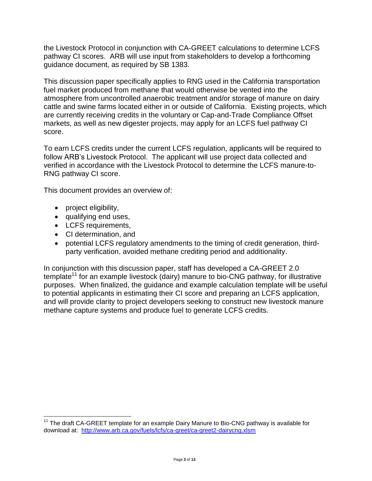pathway CI scores. ARB will use input from stakeholders to develop a forthcoming guidance document, as required by SB 1383. the Livestock Protocol in conjunction with CA-GREET calculations to determine LCFS

 This discussion paper specifically applies to RNG used in the California transportation fuel market produced from methane that would otherwise be vented into the atmosphere from uncontrolled anaerobic treatment and/or storage of manure on dairy cattle and swine farms located either in or outside of California. Existing projects, which markets, as well as new digester projects, may apply for an LCFS fuel pathway CI are currently receiving credits in the voluntary or Cap-and-Trade Compliance Offset score.

 verified in accordance with the Livestock Protocol to determine the LCFS manure-to-To earn LCFS credits under the current LCFS regulation, applicants will be required to follow ARB's Livestock Protocol. The applicant will use project data collected and RNG pathway CI score.

This document provides an overview of:

• project eligibility,

 $\overline{\phantom{a}}$ 

- qualifying end uses,
- LCFS requirements,
- CI determination, and
- potential LCFS regulatory amendments to the timing of credit generation, thirdparty verification, avoided methane crediting period and additionality.

template<sup>11</sup> for an example livestock (dairy) manure to bio-CNG pathway, for illustrative purposes. When finalized, the guidance and example calculation template will be useful to potential applicants in estimating their CI score and preparing an LCFS application, methane capture systems and produce fuel to generate LCFS credits. In conjunction with this discussion paper, staff has developed a CA-GREET 2.0 and will provide clarity to project developers seeking to construct new livestock manure

 download at: <http://www.arb.ca.gov/fuels/lcfs/ca-greet/ca-greet2-dairycng.xlsm>Page **3** of **13**  $11$  The draft CA-GREET template for an example Dairy Manure to Bio-CNG pathway is available for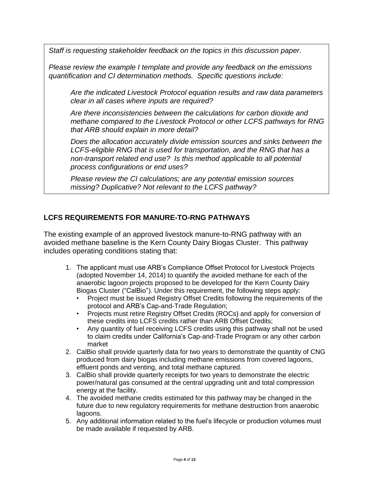*Staff is requesting stakeholder feedback on the topics in this discussion paper.* 

*Please review the example I template and provide any feedback on the emissions quantification and CI determination methods. Specific questions include:* 

*Are the indicated Livestock Protocol equation results and raw data parameters clear in all cases where inputs are required?* 

 *methane compared to the Livestock Protocol or other LCFS pathways for RNG Are there inconsistencies between the calculations for carbon dioxide and that ARB should explain in more detail?* 

*Does the allocation accurately divide emission sources and sinks between the LCFS-eligible RNG that is used for transportation, and the RNG that has a non-transport related end use? Is this method applicable to all potential process configurations or end uses?* 

*Please review the CI calculations; are any potential emission sources missing? Duplicative? Not relevant to the LCFS pathway?* 

### <span id="page-5-0"></span> **LCFS REQUIREMENTS FOR MANURE-TO-RNG PATHWAYS**

 The existing example of an approved livestock manure-to-RNG pathway with an includes operating conditions stating that: avoided methane baseline is the Kern County Dairy Biogas Cluster. This pathway

- includes operating conditions stating that: 1. The applicant must use ARB's Compliance Offset Protocol for Livestock Projects (adopted November 14, 2014) to quantify the avoided methane for each of the anaerobic lagoon projects proposed to be developed for the Kern County Dairy Biogas Cluster ("CalBio"). Under this requirement, the following steps apply:
	- protocol and ARB's Cap-and-Trade Regulation; • Project must be issued Registry Offset Credits following the requirements of the
	- • Projects must retire Registry Offset Credits (ROCs) and apply for conversion of these credits into LCFS credits rather than ARB Offset Credits;
	- to claim credits under California's Cap-and-Trade Program or any other carbon • Any quantity of fuel receiving LCFS credits using this pathway shall not be used market
	- 2. CalBio shall provide quarterly data for two years to demonstrate the quantity of CNG produced from dairy biogas including methane emissions from covered lagoons, effluent ponds and venting, and total methane captured.
	- 3. CalBio shall provide quarterly receipts for two years to demonstrate the electric power/natural gas consumed at the central upgrading unit and total compression energy at the facility.
	- 4. The avoided methane credits estimated for this pathway may be changed in the future due to new regulatory requirements for methane destruction from anaerobic lagoons.
	- lagoons. 5. Any additional information related to the fuel's lifecycle or production volumes must be made available if requested by ARB.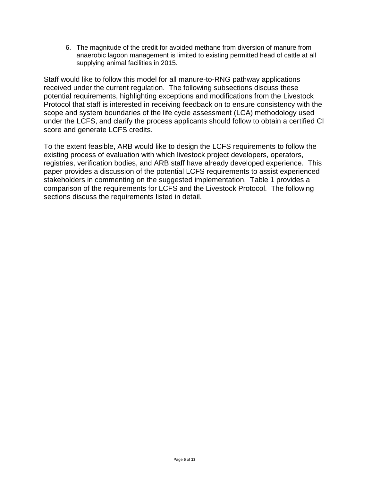6. The magnitude of the credit for avoided methane from diversion of manure from anaerobic lagoon management is limited to existing permitted head of cattle at all supplying animal facilities in 2015.

 Staff would like to follow this model for all manure-to-RNG pathway applications received under the current regulation. The following subsections discuss these Protocol that staff is interested in receiving feedback on to ensure consistency with the under the LCFS, and clarify the process applicants should follow to obtain a certified CI potential requirements, highlighting exceptions and modifications from the Livestock scope and system boundaries of the life cycle assessment (LCA) methodology used score and generate LCFS credits.

 To the extent feasible, ARB would like to design the LCFS requirements to follow the stakeholders in commenting on the suggested implementation. Table 1 provides a comparison of the requirements for LCFS and the Livestock Protocol. The following sections discuss the requirements listed in detail. existing process of evaluation with which livestock project developers, operators, registries, verification bodies, and ARB staff have already developed experience. This paper provides a discussion of the potential LCFS requirements to assist experienced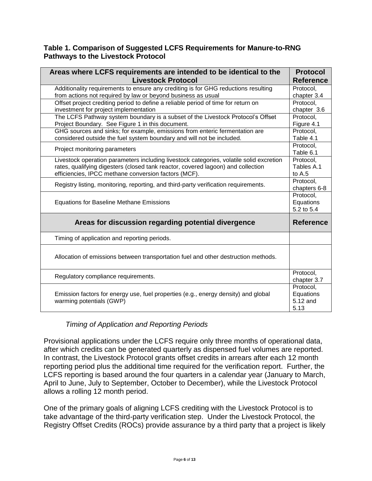#### <span id="page-7-0"></span> **Table 1. Comparison of Suggested LCFS Requirements for Manure-to-RNG Pathways to the Livestock Protocol**

| Areas where LCFS requirements are intended to be identical to the<br><b>Livestock Protocol</b>                 | <b>Protocol</b><br><b>Reference</b> |
|----------------------------------------------------------------------------------------------------------------|-------------------------------------|
| Additionality requirements to ensure any crediting is for GHG reductions resulting                             | Protocol,                           |
| from actions not required by law or beyond business as usual                                                   | chapter 3.4                         |
| Offset project crediting period to define a reliable period of time for return on                              | Protocol,                           |
| investment for project implementation                                                                          | chapter 3.6                         |
| The LCFS Pathway system boundary is a subset of the Livestock Protocol's Offset                                | Protocol,                           |
| Project Boundary. See Figure 1 in this document.                                                               | Figure 4.1                          |
| GHG sources and sinks; for example, emissions from enteric fermentation are                                    | Protocol,                           |
| considered outside the fuel system boundary and will not be included.                                          | Table 4.1                           |
| Project monitoring parameters                                                                                  | Protocol,                           |
|                                                                                                                | Table 6.1                           |
| Livestock operation parameters including livestock categories, volatile solid excretion                        | Protocol.                           |
| rates, qualifying digesters (closed tank reactor, covered lagoon) and collection                               | Tables A.1                          |
| efficiencies, IPCC methane conversion factors (MCF)                                                            | to $A.5$                            |
| Registry listing, monitoring, reporting, and third-party verification requirements.                            | Protocol,                           |
|                                                                                                                | chapters 6-8                        |
| <b>Equations for Baseline Methane Emissions</b>                                                                | Protocol,                           |
|                                                                                                                | Equations                           |
|                                                                                                                | 5.2 to 5.4                          |
| Areas for discussion regarding potential divergence                                                            | <b>Reference</b>                    |
| Timing of application and reporting periods.                                                                   |                                     |
| Allocation of emissions between transportation fuel and other destruction methods.                             |                                     |
| Regulatory compliance requirements.                                                                            | Protocol,                           |
|                                                                                                                | chapter 3.7                         |
| Emission factors for energy use, fuel properties (e.g., energy density) and global<br>warming potentials (GWP) | Protocol,                           |
|                                                                                                                | Equations                           |
|                                                                                                                | 5.12 and                            |
|                                                                                                                | 5.13                                |

### *Timing of Application and Reporting Periods*

<span id="page-7-1"></span> Provisional applications under the LCFS require only three months of operational data, reporting period plus the additional time required for the verification report. Further, the LCFS reporting is based around the four quarters in a calendar year (January to March, April to June, July to September, October to December), while the Livestock Protocol after which credits can be generated quarterly as dispensed fuel volumes are reported. In contrast, the Livestock Protocol grants offset credits in arrears after each 12 month allows a rolling 12 month period.

 One of the primary goals of aligning LCFS crediting with the Livestock Protocol is to take advantage of the third-party verification step. Under the Livestock Protocol, the Registry Offset Credits (ROCs) provide assurance by a third party that a project is likely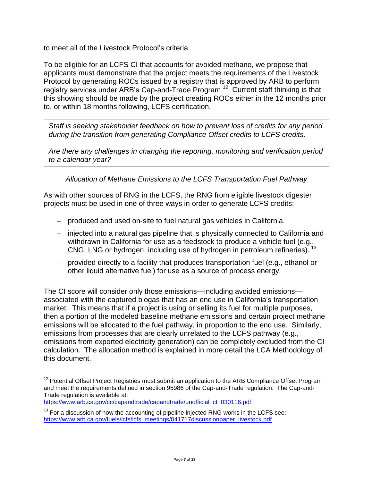to meet all of the Livestock Protocol's criteria.

 To be eligible for an LCFS CI that accounts for avoided methane, we propose that applicants must demonstrate that the project meets the requirements of the Livestock registry services under ARB's Cap-and-Trade Program.<sup>12</sup> Current staff thinking is that this showing should be made by the project creating ROCs either in the 12 months prior to, or within 18 months following, LCFS certification. Protocol by generating ROCs issued by a registry that is approved by ARB to perform

*Staff is seeking stakeholder feedback on how to prevent loss of credits for any period during the transition from generating Compliance Offset credits to LCFS credits.* 

 *Are there any challenges in changing the reporting, monitoring and verification period to a calendar year?* 

 *Allocation of Methane Emissions to the LCFS Transportation Fuel Pathway* 

<span id="page-8-0"></span>As with other sources of RNG in the LCFS, the RNG from eligible livestock digester projects must be used in one of three ways in order to generate LCFS credits:

- produced and used on-site to fuel natural gas vehicles in California.
- injected into a natural gas pipeline that is physically connected to California and withdrawn in California for use as a feedstock to produce a vehicle fuel (e.g., CNG, LNG or hydrogen, including use of hydrogen in petroleum refineries).
- provided directly to a facility that produces transportation fuel (e.g., ethanol or other liquid alternative fuel) for use as a source of process energy.

 associated with the captured biogas that has an end use in California's transportation market. This means that if a project is using or selling its fuel for multiple purposes, then a portion of the modeled baseline methane emissions and certain project methane emissions will be allocated to the fuel pathway, in proportion to the end use. Similarly, emissions from processes that are clearly unrelated to the LCFS pathway (e.g., The CI score will consider only those emissions—including avoided emissions emissions from exported electricity generation) can be completely excluded from the CI calculation. The allocation method is explained in more detail the LCA Methodology of this document.

https://www.arb.ca.gov/cc/capandtrade/capandtrade/unofficial ct 030116.pdf

 $\overline{\phantom{a}}$  $12$  Potential Offset Project Registries must submit an application to the ARB Compliance Offset Program and meet the requirements defined in section 95986 of the Cap-and-Trade regulation. The Cap-and-Trade regulation is available at:

 [https://www.arb.ca.gov/fuels/lcfs/lcfs\\_meetings/041717discussionpaper\\_livestock.pdf](https://www.arb.ca.gov/fuels/lcfs/lcfs_meetings/041717discussionpaper_livestock.pdf) Page **7** of **13**  $13$  For a discussion of how the accounting of pipeline injected RNG works in the LCFS see: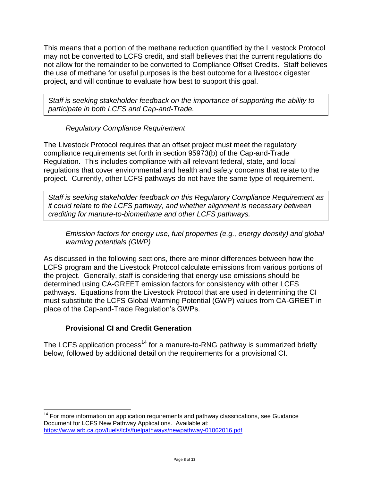This means that a portion of the methane reduction quantified by the Livestock Protocol not allow for the remainder to be converted to Compliance Offset Credits. Staff believes the use of methane for useful purposes is the best outcome for a livestock digester project, and will continue to evaluate how best to support this goal. may not be converted to LCFS credit, and staff believes that the current regulations do

*Staff is seeking stakeholder feedback on the importance of supporting the ability to participate in both LCFS and Cap-and-Trade.* 

## *Regulatory Compliance Requirement*

<span id="page-9-0"></span> The Livestock Protocol requires that an offset project must meet the regulatory Regulation. This includes compliance with all relevant federal, state, and local regulations that cover environmental and health and safety concerns that relate to the project. Currently, other LCFS pathways do not have the same type of requirement. compliance requirements set forth in section 95973(b) of the Cap-and-Trade

 *it could relate to the LCFS pathway, and whether alignment is necessary between Staff is seeking stakeholder feedback on this Regulatory Compliance Requirement as crediting for manure-to-biomethane and other LCFS pathways.* 

<span id="page-9-1"></span>*Emission factors for energy use, fuel properties (e.g., energy density) and global warming potentials (GWP)* 

 As discussed in the following sections, there are minor differences between how the LCFS program and the Livestock Protocol calculate emissions from various portions of the project. Generally, staff is considering that energy use emissions should be pathways. Equations from the Livestock Protocol that are used in determining the CI determined using CA-GREET emission factors for consistency with other LCFS must substitute the LCFS Global Warming Potential (GWP) values from CA-GREET in place of the Cap-and-Trade Regulation's GWPs.

### **Provisional CI and Credit Generation**

 $\overline{\phantom{a}}$ 

<span id="page-9-2"></span>The LCFS application process<sup>14</sup> for a manure-to-RNG pathway is summarized briefly below, followed by additional detail on the requirements for a provisional CI. below, followed by additional detail on the requirements for a provisional CI. For more information on application requirements and pathway classifications, see Guidance

 Document for LCFS New Pathway Applications. Available at: <https://www.arb.ca.gov/fuels/lcfs/fuelpathways/newpathway-01062016.pdf>Page **8** of **<sup>13</sup>**  $14$  For more information on application requirements and pathway classifications, see Guidance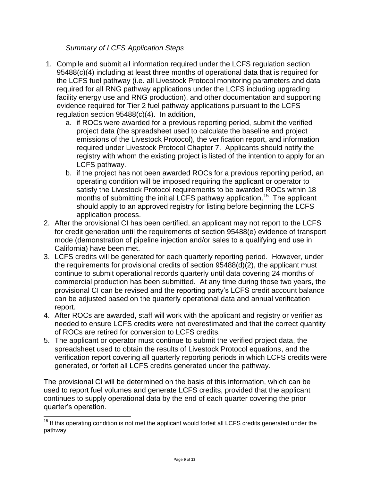#### *Summary of LCFS Application Steps*

- <span id="page-10-0"></span> 1. Compile and submit all information required under the LCFS regulation section 95488(c)(4) including at least three months of operational data that is required for the LCFS fuel pathway (i.e. all Livestock Protocol monitoring parameters and data evidence required for Tier 2 fuel pathway applications pursuant to the LCFS regulation section 95488(c)(4). In addition, required for all RNG pathway applications under the LCFS including upgrading facility energy use and RNG production), and other documentation and supporting
	- a. if ROCs were awarded for a previous reporting period, submit the verified emissions of the Livestock Protocol), the verification report, and information required under Livestock Protocol Chapter 7. Applicants should notify the registry with whom the existing project is listed of the intention to apply for an project data (the spreadsheet used to calculate the baseline and project LCFS pathway.
	- b. if the project has not been awarded ROCs for a previous reporting period, an satisfy the Livestock Protocol requirements to be awarded ROCs within 18 months of submitting the initial LCFS pathway application.<sup>15</sup> The applicant operating condition will be imposed requiring the applicant or operator to should apply to an approved registry for listing before beginning the LCFS application process.
- 2. After the provisional CI has been certified, an applicant may not report to the LCFS California) have been met. for credit generation until the requirements of section 95488(e) evidence of transport mode (demonstration of pipeline injection and/or sales to a qualifying end use in
- 3. LCFS credits will be generated for each quarterly reporting period. However, under the requirements for provisional credits of section 95488(d)(2), the applicant must continue to submit operational records quarterly until data covering 24 months of provisional CI can be revised and the reporting party's LCFS credit account balance can be adjusted based on the quarterly operational data and annual verification commercial production has been submitted. At any time during those two years, the report.
- needed to ensure LCFS credits were not overestimated and that the correct quantity 4. After ROCs are awarded, staff will work with the applicant and registry or verifier as of ROCs are retired for conversion to LCFS credits.
- 5. The applicant or operator must continue to submit the verified project data, the spreadsheet used to obtain the results of Livestock Protocol equations, and the generated, or forfeit all LCFS credits generated under the pathway. verification report covering all quarterly reporting periods in which LCFS credits were

 The provisional CI will be determined on the basis of this information, which can be continues to supply operational data by the end of each quarter covering the prior quarter's operation. used to report fuel volumes and generate LCFS credits, provided that the applicant

 $\overline{\phantom{a}}$  $15$  If this operating condition is not met the applicant would forfeit all LCFS credits generated under the pathway.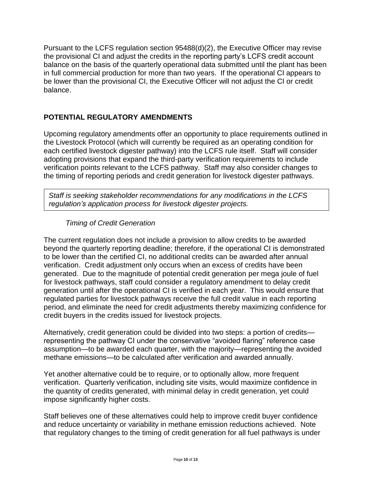Pursuant to the LCFS regulation section 95488(d)(2), the Executive Officer may revise the provisional CI and adjust the credits in the reporting party's LCFS credit account balance. balance on the basis of the quarterly operational data submitted until the plant has been in full commercial production for more than two years. If the operational CI appears to be lower than the provisional CI, the Executive Officer will not adjust the CI or credit

### <span id="page-11-0"></span>**POTENTIAL REGULATORY AMENDMENTS**

 Upcoming regulatory amendments offer an opportunity to place requirements outlined in the Livestock Protocol (which will currently be required as an operating condition for each certified livestock digester pathway) into the LCFS rule itself. Staff will consider adopting provisions that expand the third-party verification requirements to include verification points relevant to the LCFS pathway. Staff may also consider changes to the timing of reporting periods and credit generation for livestock digester pathways.

*Staff is seeking stakeholder recommendations for any modifications in the LCFS regulation's application process for livestock digester projects.* 

#### *Timing of Credit Generation*

<span id="page-11-1"></span> verification. Credit adjustment only occurs when an excess of credits have been generated. Due to the magnitude of potential credit generation per mega joule of fuel for livestock pathways, staff could consider a regulatory amendment to delay credit regulated parties for livestock pathways receive the full credit value in each reporting The current regulation does not include a provision to allow credits to be awarded beyond the quarterly reporting deadline; therefore, if the operational CI is demonstrated to be lower than the certified CI, no additional credits can be awarded after annual generation until after the operational CI is verified in each year. This would ensure that period, and eliminate the need for credit adjustments thereby maximizing confidence for credit buyers in the credits issued for livestock projects.

 assumption—to be awarded each quarter, with the majority—representing the avoided Alternatively, credit generation could be divided into two steps: a portion of credits representing the pathway CI under the conservative "avoided flaring" reference case methane emissions—to be calculated after verification and awarded annually.

 the quantity of credits generated, with minimal delay in credit generation, yet could impose significantly higher costs. Yet another alternative could be to require, or to optionally allow, more frequent verification. Quarterly verification, including site visits, would maximize confidence in

 that regulatory changes to the timing of credit generation for all fuel pathways is under Staff believes one of these alternatives could help to improve credit buyer confidence and reduce uncertainty or variability in methane emission reductions achieved. Note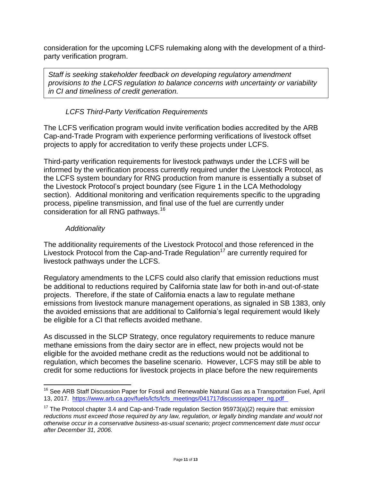party verification program. consideration for the upcoming LCFS rulemaking along with the development of a third-

*Staff is seeking stakeholder feedback on developing regulatory amendment provisions to the LCFS regulation to balance concerns with uncertainty or variability in CI and timeliness of credit generation.* 

## *LCFS Third-Party Verification Requirements*

<span id="page-12-0"></span> The LCFS verification program would invite verification bodies accredited by the ARB Cap-and-Trade Program with experience performing verifications of livestock offset projects to apply for accreditation to verify these projects under LCFS.

 informed by the verification process currently required under the Livestock Protocol, as the LCFS system boundary for RNG production from manure is essentially a subset of process, pipeline transmission, and final use of the fuel are currently under Third-party verification requirements for livestock pathways under the LCFS will be the Livestock Protocol's project boundary (see Figure 1 in the LCA Methodology section). Additional monitoring and verification requirements specific to the upgrading consideration for all RNG [pathways.](https://pathways.16)<sup>16</sup>

#### *Additionality*

<span id="page-12-1"></span>livestock pathways under the LCFS. The additionality requirements of the Livestock Protocol and those referenced in the Livestock Protocol from the Cap-and-Trade Regulation<sup>17</sup> are currently required for

 be additional to reductions required by California state law for both in-and out-of-state projects. Therefore, if the state of California enacts a law to regulate methane emissions from livestock manure management operations, as signaled in SB 1383, only the avoided emissions that are additional to California's legal requirement would likely be eligible for a CI that reflects avoided methane. Regulatory amendments to the LCFS could also clarify that emission reductions must

 methane emissions from the dairy sector are in effect, new projects would not be As discussed in the SLCP Strategy, once regulatory requirements to reduce manure eligible for the avoided methane credit as the reductions would not be additional to regulation, which becomes the baseline scenario. However, LCFS may still be able to credit for some reductions for livestock projects in place before the new requirements

l <sup>16</sup> See ARB Staff Discussion Paper for Fossil and Renewable Natural Gas as a Transportation Fuel, April 13, 2017. https://www.arb.ca.gov/fuels/lcfs/lcfs meetings/041717discussionpaper ng.pdf

 *after December 31, 2006.* <sup>17</sup> The Protocol chapter 3.4 and Cap-and-Trade regulation Section 95973(a)(2) require that: emission reductions must exceed those required by any law, regulation, or legally binding mandate and would not *otherwise occur in a conservative business-as-usual scenario; project commencement date must occur*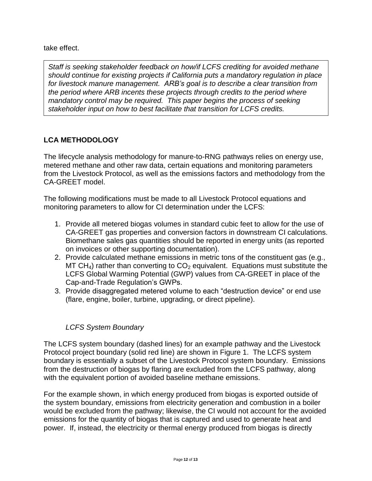take effect.

for livestock manure management. ARB's goal is to describe a clear transition from  *the period where ARB incents these projects through credits to the period where*  mandatory control may be required. This paper begins the process of seeking  *stakeholder input on how to best facilitate that transition for LCFS credits. Staff is seeking stakeholder feedback on how/if LCFS crediting for avoided methane should continue for existing projects if California puts a mandatory regulation in place* 

# <span id="page-13-0"></span>**LCA METHODOLOGY**

 metered methane and other raw data, certain equations and monitoring parameters from the Livestock Protocol, as well as the emissions factors and methodology from the CA-GREET model. The lifecycle analysis methodology for manure-to-RNG pathways relies on energy use,

 The following modifications must be made to all Livestock Protocol equations and monitoring parameters to allow for CI determination under the LCFS:

- 1. Provide all metered biogas volumes in standard cubic feet to allow for the use of CA-GREET gas properties and conversion factors in downstream CI calculations. Biomethane sales gas quantities should be reported in energy units (as reported on invoices or other supporting documentation).
- 2. Provide calculated methane emissions in metric tons of the constituent gas (e.g., MT CH<sub>4</sub>) rather than converting to  $CO<sub>2</sub>$  equivalent. Equations must substitute the LCFS Global Warming Potential (GWP) values from CA-GREET in place of the Cap-and-Trade Regulation's GWPs.
- 3. Provide disaggregated metered volume to each "destruction device" or end use (flare, engine, boiler, turbine, upgrading, or direct pipeline).

# *LCFS System Boundary*

<span id="page-13-1"></span> The LCFS system boundary (dashed lines) for an example pathway and the Livestock from the destruction of biogas by flaring are excluded from the LCFS pathway, along Protocol project boundary (solid red line) are shown in Figure 1. The LCFS system boundary is essentially a subset of the Livestock Protocol system boundary. Emissions with the equivalent portion of avoided baseline methane emissions.

 For the example shown, in which energy produced from biogas is exported outside of the system boundary, emissions from electricity generation and combustion in a boiler would be excluded from the pathway; likewise, the CI would not account for the avoided power. If, instead, the electricity or thermal energy produced from biogas is directly emissions for the quantity of biogas that is captured and used to generate heat and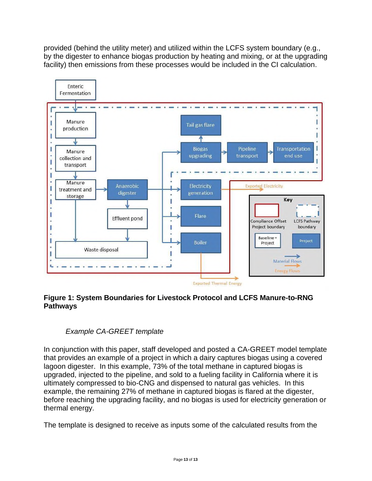provided (behind the utility meter) and utilized within the LCFS system boundary (e.g., by the digester to enhance biogas production by heating and mixing, or at the upgrading facility) then emissions from these processes would be included in the CI calculation.



#### <span id="page-14-0"></span> **Figure 1: System Boundaries for Livestock Protocol and LCFS Manure-to-RNG Pathways**

### *Example CA-GREET template*

<span id="page-14-1"></span> In conjunction with this paper, staff developed and posted a CA-GREET model template that provides an example of a project in which a dairy captures biogas using a covered lagoon digester. In this example, 73% of the total methane in captured biogas is upgraded, injected to the pipeline, and sold to a fueling facility in California where it is ultimately compressed to bio-CNG and dispensed to natural gas vehicles. In this example, the remaining 27% of methane in captured biogas is flared at the digester, before reaching the upgrading facility, and no biogas is used for electricity generation or thermal energy.

The template is designed to receive as inputs some of the calculated results from the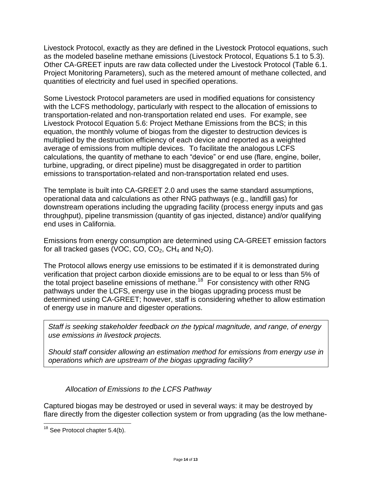Livestock Protocol, exactly as they are defined in the Livestock Protocol equations, such as the modeled baseline methane emissions (Livestock Protocol, Equations 5.1 to 5.3). Other CA-GREET inputs are raw data collected under the Livestock Protocol (Table 6.1. Project Monitoring Parameters), such as the metered amount of methane collected, and quantities of electricity and fuel used in specified operations.

 Some Livestock Protocol parameters are used in modified equations for consistency with the LCFS methodology, particularly with respect to the allocation of emissions to transportation-related and non-transportation related end uses. For example, see equation, the monthly volume of biogas from the digester to destruction devices is average of emissions from multiple devices. To facilitate the analogous LCFS emissions to transportation-related and non-transportation related end uses. Livestock Protocol Equation 5.6: Project Methane Emissions from the BCS; in this multiplied by the destruction efficiency of each device and reported as a weighted calculations, the quantity of methane to each "device" or end use (flare, engine, boiler, turbine, upgrading, or direct pipeline) must be disaggregated in order to partition

 The template is built into CA-GREET 2.0 and uses the same standard assumptions, end uses in California. operational data and calculations as other RNG pathways (e.g., landfill gas) for downstream operations including the upgrading facility (process energy inputs and gas throughput), pipeline transmission (quantity of gas injected, distance) and/or qualifying

end uses in California.<br>Emissions from energy consumption are determined using CA-GREET emission factors for all tracked gases (VOC, CO,  $CO<sub>2</sub>$ , CH<sub>4</sub> and N<sub>2</sub>O).

 verification that project carbon dioxide emissions are to be equal to or less than 5% of the total project baseline emissions of [methane.](https://methane.18)<sup>18</sup> For consistency with other RNG The Protocol allows energy use emissions to be estimated if it is demonstrated during pathways under the LCFS, energy use in the biogas upgrading process must be determined using CA-GREET; however, staff is considering whether to allow estimation of energy use in manure and digester operations.

*Staff is seeking stakeholder feedback on the typical magnitude, and range, of energy use emissions in livestock projects.* 

 *Should staff consider allowing an estimation method for emissions from energy use in operations which are upstream of the biogas upgrading facility?* 

*Allocation of Emissions to the LCFS Pathway* 

<span id="page-15-0"></span> flare directly from the digester collection system or from upgrading (as the low methane-Captured biogas may be destroyed or used in several ways: it may be destroyed by

 $\overline{\phantom{a}}$ 

 $18$  See Protocol chapter 5.4(b).